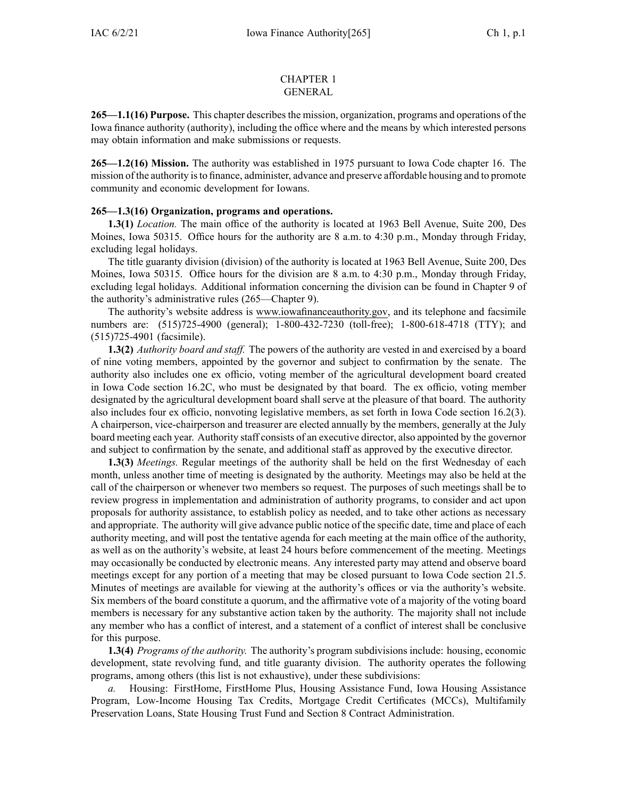## CHAPTER 1 GENERAL

**265—1.1(16) Purpose.** This chapter describesthe mission, organization, programs and operations of the Iowa finance authority (authority), including the office where and the means by which interested persons may obtain information and make submissions or requests.

**265—1.2(16) Mission.** The authority was established in 1975 pursuan<sup>t</sup> to Iowa Code chapter [16](https://www.legis.iowa.gov/docs/ico/chapter/16.pdf). The mission of the authority isto finance, administer, advance and preserve affordable housing and to promote community and economic development for Iowans.

## **265—1.3(16) Organization, programs and operations.**

**1.3(1)** *Location.* The main office of the authority is located at 1963 Bell Avenue, Suite 200, Des Moines, Iowa 50315. Office hours for the authority are 8 a.m. to 4:30 p.m., Monday through Friday, excluding legal holidays.

The title guaranty division (division) of the authority is located at 1963 Bell Avenue, Suite 200, Des Moines, Iowa 50315. Office hours for the division are 8 a.m. to 4:30 p.m., Monday through Friday, excluding legal holidays. Additional information concerning the division can be found in Chapter 9 of the authority's administrative rules ([265—Chapter](https://www.legis.iowa.gov/docs/iac/chapter/265.9.pdf) 9).

The authority's website address is www.iowafinanceauthority.gov, and its telephone and facsimile numbers are: (515)725-4900 (general); 1-800-432-7230 (toll-free); 1-800-618-4718 (TTY); and (515)725-4901 (facsimile).

**1.3(2)** *Authority board and staff.* The powers of the authority are vested in and exercised by <sup>a</sup> board of nine voting members, appointed by the governor and subject to confirmation by the senate. The authority also includes one ex officio, voting member of the agricultural development board created in Iowa Code section [16.2C](https://www.legis.iowa.gov/docs/ico/section/16.2C.pdf), who must be designated by that board. The ex officio, voting member designated by the agricultural development board shall serve at the pleasure of that board. The authority also includes four ex officio, nonvoting legislative members, as set forth in Iowa Code section [16.2\(3\)](https://www.legis.iowa.gov/docs/ico/section/16.2.pdf). A chairperson, vice-chairperson and treasurer are elected annually by the members, generally at the July board meeting each year. Authority staff consists of an executive director, also appointed by the governor and subject to confirmation by the senate, and additional staff as approved by the executive director.

**1.3(3)** *Meetings.* Regular meetings of the authority shall be held on the first Wednesday of each month, unless another time of meeting is designated by the authority. Meetings may also be held at the call of the chairperson or whenever two members so request. The purposes of such meetings shall be to review progress in implementation and administration of authority programs, to consider and act upon proposals for authority assistance, to establish policy as needed, and to take other actions as necessary and appropriate. The authority will give advance public notice of the specific date, time and place of each authority meeting, and will pos<sup>t</sup> the tentative agenda for each meeting at the main office of the authority, as well as on the authority's website, at least 24 hours before commencement of the meeting. Meetings may occasionally be conducted by electronic means. Any interested party may attend and observe board meetings excep<sup>t</sup> for any portion of <sup>a</sup> meeting that may be closed pursuan<sup>t</sup> to Iowa Code section [21.5](https://www.legis.iowa.gov/docs/ico/section/21.5.pdf). Minutes of meetings are available for viewing at the authority's offices or via the authority's website. Six members of the board constitute <sup>a</sup> quorum, and the affirmative vote of <sup>a</sup> majority of the voting board members is necessary for any substantive action taken by the authority. The majority shall not include any member who has <sup>a</sup> conflict of interest, and <sup>a</sup> statement of <sup>a</sup> conflict of interest shall be conclusive for this purpose.

**1.3(4)** *Programs of the authority.* The authority's program subdivisions include: housing, economic development, state revolving fund, and title guaranty division. The authority operates the following programs, among others (this list is not exhaustive), under these subdivisions:

Housing: FirstHome, FirstHome Plus, Housing Assistance Fund, Iowa Housing Assistance Program, Low-Income Housing Tax Credits, Mortgage Credit Certificates (MCCs), Multifamily Preservation Loans, State Housing Trust Fund and Section 8 Contract Administration.